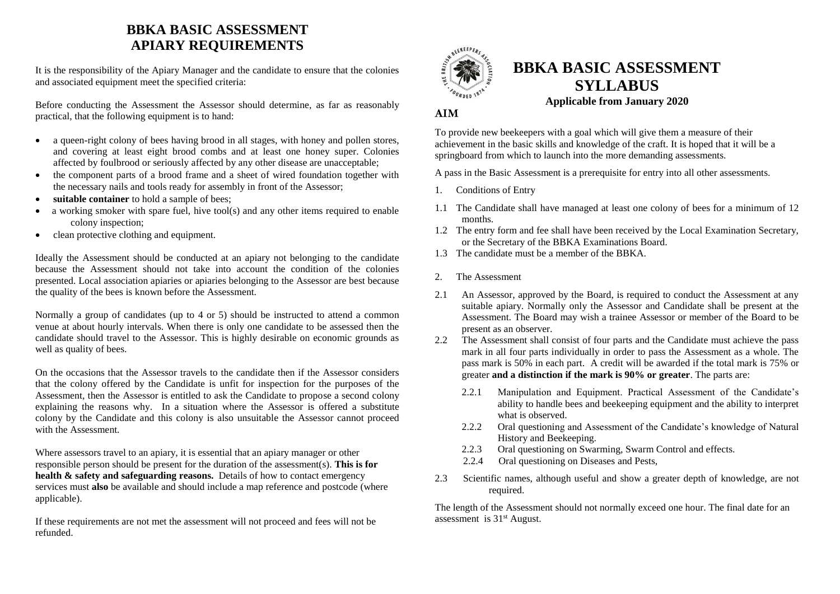## **BBKA BASIC ASSESSMENT APIARY REQUIREMENTS**

It is the responsibility of the Apiary Manager and the candidate to ensure that the colonies and associated equipment meet the specified criteria:

Before conducting the Assessment the Assessor should determine, as far as reasonably practical, that the following equipment is to hand:

- a queen-right colony of bees having brood in all stages, with honey and pollen stores, and covering at least eight brood combs and at least one honey super. Colonies affected by foulbrood or seriously affected by any other disease are unacceptable;
- the component parts of a brood frame and a sheet of wired foundation together with the necessary nails and tools ready for assembly in front of the Assessor;
- **suitable container** to hold a sample of bees;
- a working smoker with spare fuel, hive tool(s) and any other items required to enable colony inspection;
- clean protective clothing and equipment.

Ideally the Assessment should be conducted at an apiary not belonging to the candidate because the Assessment should not take into account the condition of the colonies presented. Local association apiaries or apiaries belonging to the Assessor are best because the quality of the bees is known before the Assessment.

Normally a group of candidates (up to 4 or 5) should be instructed to attend a common venue at about hourly intervals. When there is only one candidate to be assessed then the candidate should travel to the Assessor. This is highly desirable on economic grounds as well as quality of bees.

On the occasions that the Assessor travels to the candidate then if the Assessor considers that the colony offered by the Candidate is unfit for inspection for the purposes of the Assessment, then the Assessor is entitled to ask the Candidate to propose a second colony explaining the reasons why. In a situation where the Assessor is offered a substitute colony by the Candidate and this colony is also unsuitable the Assessor cannot proceed with the Assessment.

Where assessors travel to an apiary, it is essential that an apiary manager or other responsible person should be present for the duration of the assessment(s). **This is for health & safety and safeguarding reasons.** Details of how to contact emergency services must **also** be available and should include a map reference and postcode (where applicable).

If these requirements are not met the assessment will not proceed and fees will not be refunded.



# **BBKA BASIC ASSESSMENT SYLLABUS Applicable from January 2020**

### **AIM**

To provide new beekeepers with a goal which will give them a measure of their achievement in the basic skills and knowledge of the craft. It is hoped that it will be a springboard from which to launch into the more demanding assessments.

A pass in the Basic Assessment is a prerequisite for entry into all other assessments.

- 1. Conditions of Entry
- 1.1 The Candidate shall have managed at least one colony of bees for a minimum of 12 months.
- 1.2 The entry form and fee shall have been received by the Local Examination Secretary, or the Secretary of the BBKA Examinations Board.
- 1.3 The candidate must be a member of the BBKA.
- 2. The Assessment
- 2.1 An Assessor, approved by the Board, is required to conduct the Assessment at any suitable apiary. Normally only the Assessor and Candidate shall be present at the Assessment. The Board may wish a trainee Assessor or member of the Board to be present as an observer.
- 2.2 The Assessment shall consist of four parts and the Candidate must achieve the pass mark in all four parts individually in order to pass the Assessment as a whole. The pass mark is 50% in each part. A credit will be awarded if the total mark is 75% or greater **and a distinction if the mark is 90% or greater**. The parts are:
	- 2.2.1 Manipulation and Equipment. Practical Assessment of the Candidate's ability to handle bees and beekeeping equipment and the ability to interpret what is observed.
	- 2.2.2 Oral questioning and Assessment of the Candidate's knowledge of Natural History and Beekeeping.
	- 2.2.3 Oral questioning on Swarming, Swarm Control and effects.
	- 2.2.4 Oral questioning on Diseases and Pests,
- 2.3 Scientific names, although useful and show a greater depth of knowledge, are not required.

The length of the Assessment should not normally exceed one hour. The final date for an assessment is 31st August.